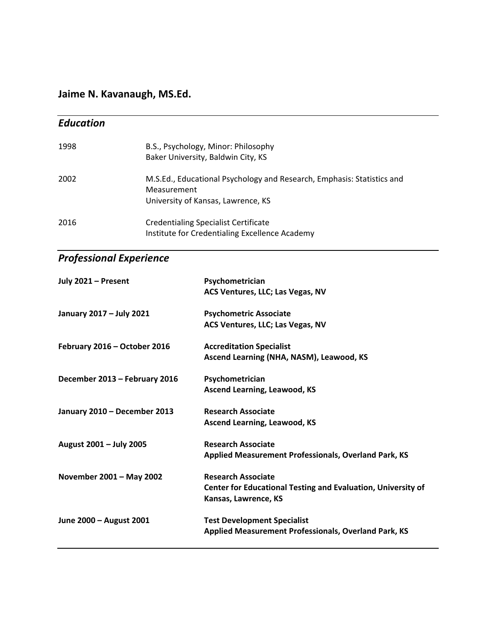**Jaime N. Kavanaugh, MS.Ed.**

| <b>Education</b> |                                                                                                                             |
|------------------|-----------------------------------------------------------------------------------------------------------------------------|
| 1998             | B.S., Psychology, Minor: Philosophy<br>Baker University, Baldwin City, KS                                                   |
| 2002             | M.S.Ed., Educational Psychology and Research, Emphasis: Statistics and<br>Measurement<br>University of Kansas, Lawrence, KS |
| 2016             | <b>Credentialing Specialist Certificate</b><br>Institute for Credentialing Excellence Academy                               |

## *Professional Experience*

| July 2021 - Present           | Psychometrician                                              |
|-------------------------------|--------------------------------------------------------------|
|                               | ACS Ventures, LLC; Las Vegas, NV                             |
| January 2017 - July 2021      | <b>Psychometric Associate</b>                                |
|                               | ACS Ventures, LLC; Las Vegas, NV                             |
| February 2016 - October 2016  | <b>Accreditation Specialist</b>                              |
|                               | Ascend Learning (NHA, NASM), Leawood, KS                     |
| December 2013 - February 2016 | Psychometrician                                              |
|                               | <b>Ascend Learning, Leawood, KS</b>                          |
| January 2010 - December 2013  | <b>Research Associate</b>                                    |
|                               | <b>Ascend Learning, Leawood, KS</b>                          |
| August 2001 - July 2005       | <b>Research Associate</b>                                    |
|                               | Applied Measurement Professionals, Overland Park, KS         |
| November 2001 - May 2002      | <b>Research Associate</b>                                    |
|                               | Center for Educational Testing and Evaluation, University of |
|                               | Kansas, Lawrence, KS                                         |
| June 2000 - August 2001       | <b>Test Development Specialist</b>                           |
|                               | <b>Applied Measurement Professionals, Overland Park, KS</b>  |